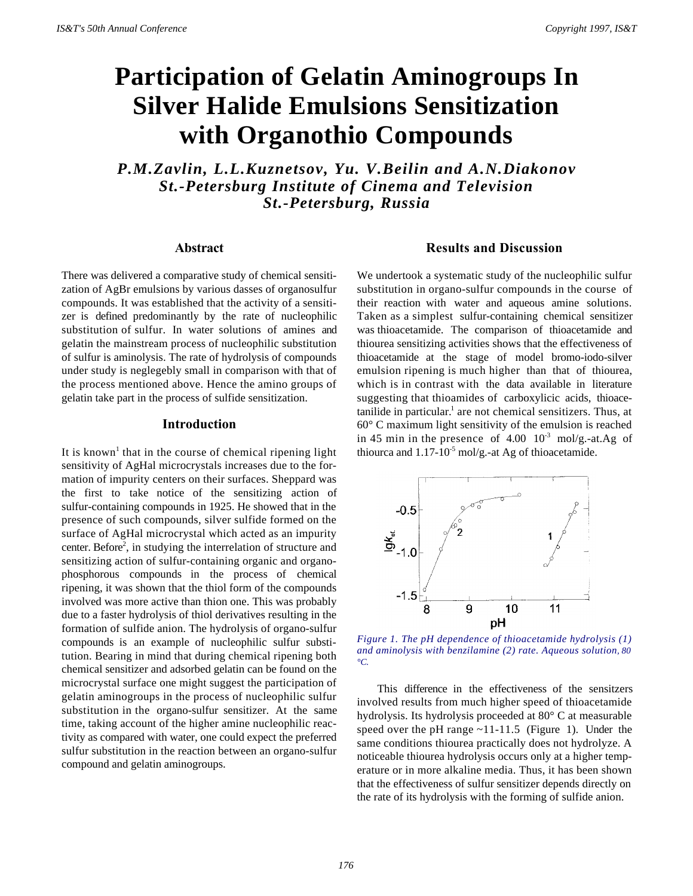# **Participation of Gelatin Aminogroups In Silver Halide Emulsions Sensitization with Organothio Compounds**

*P.M.Zavlin, L.L.Kuznetsov, Yu. V.Beilin and A.N.Diakonov St.-Petersburg Institute of Cinema and Television St.-Petersburg, Russia*

#### **Abstract**

There was delivered a comparative study of chemical sensitization of AgBr emulsions by various dasses of organosulfur compounds. It was established that the activity of a sensitizer is defined predominantly by the rate of nucleophilic substitution of sulfur. In water solutions of amines and gelatin the mainstream process of nucleophilic substitution of sulfur is aminolysis. The rate of hydrolysis of compounds under study is neglegebly small in comparison with that of the process mentioned above. Hence the amino groups of gelatin take part in the process of sulfide sensitization.

#### **Introduction**

It is known<sup>1</sup> that in the course of chemical ripening light sensitivity of AgHal microcrystals increases due to the formation of impurity centers on their surfaces. Sheppard was the first to take notice of the sensitizing action of sulfur-containing compounds in 1925. He showed that in the presence of such compounds, silver sulfide formed on the surface of AgHal microcrystal which acted as an impurity center. Before<sup>2</sup>, in studying the interrelation of structure and sensitizing action of sulfur-containing organic and organophosphorous compounds in the process of chemical ripening, it was shown that the thiol form of the compounds involved was more active than thion one. This was probably due to a faster hydrolysis of thiol derivatives resulting in the formation of sulfide anion. The hydrolysis of organo-sulfur compounds is an example of nucleophilic sulfur substitution. Bearing in mind that during chemical ripening both chemical sensitizer and adsorbed gelatin can be found on the microcrystal surface one might suggest the participation of gelatin aminogroups in the process of nucleophilic sulfur substitution in the organo-sulfur sensitizer. At the same time, taking account of the higher amine nucleophilic reactivity as compared with water, one could expect the preferred sulfur substitution in the reaction between an organo-sulfur compound and gelatin aminogroups.

### **Results and Discussion**

We undertook a systematic study of the nucleophilic sulfur substitution in organo-sulfur compounds in the course of their reaction with water and aqueous amine solutions. Taken as a simplest sulfur-containing chemical sensitizer was thioacetamide. The comparison of thioacetamide and thiourea sensitizing activities shows that the effectiveness of thioacetamide at the stage of model bromo-iodo-silver emulsion ripening is much higher than that of thiourea, which is in contrast with the data available in literature suggesting that thioamides of carboxylicic acids, thioace $t$ anilide in particular.<sup>1</sup> are not chemical sensitizers. Thus, at 60° C maximum light sensitivity of the emulsion is reached in 45 min in the presence of  $4.00 \, 10^{-3}$  mol/g.-at.Ag of thiourca and  $1.17$ - $10^{-5}$  mol/g.-at Ag of thioacetamide.



*Figure 1. The pH dependence of thioacetamide hydrolysis (1) and aminolysis with benzilamine (2) rate. Aqueous solution, 80 °C.*

This difference in the effectiveness of the sensitzers involved results from much higher speed of thioacetamide hydrolysis. Its hydrolysis proceeded at 80° C at measurable speed over the pH range ~11-11.5 (Figure 1). Under the same conditions thiourea practically does not hydrolyze. A noticeable thiourea hydrolysis occurs only at a higher temperature or in more alkaline media. Thus, it has been shown that the effectiveness of sulfur sensitizer depends directly on the rate of its hydrolysis with the forming of sulfide anion.